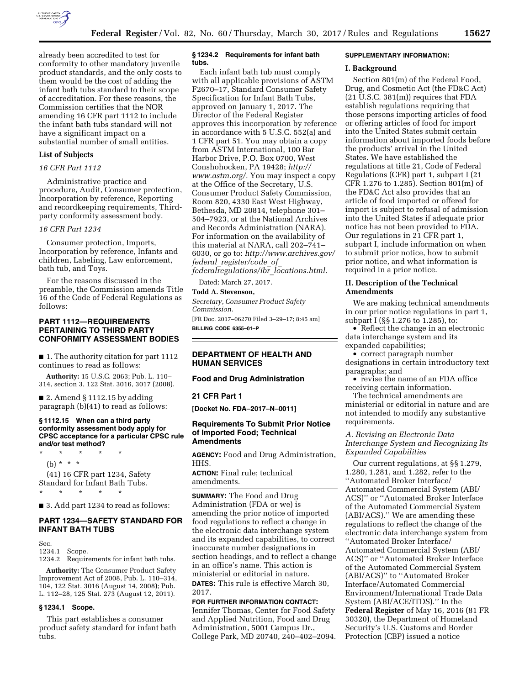

already been accredited to test for conformity to other mandatory juvenile product standards, and the only costs to them would be the cost of adding the infant bath tubs standard to their scope of accreditation. For these reasons, the Commission certifies that the NOR amending 16 CFR part 1112 to include the infant bath tubs standard will not have a significant impact on a substantial number of small entities.

#### **List of Subjects**

#### *16 CFR Part 1112*

Administrative practice and procedure, Audit, Consumer protection, Incorporation by reference, Reporting and recordkeeping requirements, Thirdparty conformity assessment body.

### *16 CFR Part 1234*

Consumer protection, Imports, Incorporation by reference, Infants and children, Labeling, Law enforcement, bath tub, and Toys.

For the reasons discussed in the preamble, the Commission amends Title 16 of the Code of Federal Regulations as follows:

# **PART 1112—REQUIREMENTS PERTAINING TO THIRD PARTY CONFORMITY ASSESSMENT BODIES**

■ 1. The authority citation for part 1112 continues to read as follows:

**Authority:** 15 U.S.C. 2063; Pub. L. 110– 314, section 3, 122 Stat. 3016, 3017 (2008).

 $\blacksquare$  2. Amend § 1112.15 by adding paragraph (b)(41) to read as follows:

### **§ 1112.15 When can a third party conformity assessment body apply for CPSC acceptance for a particular CPSC rule and/or test method?**

\* \* \* \* \* (b) \* \* \* (41) 16 CFR part 1234, Safety Standard for Infant Bath Tubs. \* \* \* \* \*

■ 3. Add part 1234 to read as follows:

## **PART 1234—SAFETY STANDARD FOR INFANT BATH TUBS**

Sec.

1234.1 Scope.

1234.2 Requirements for infant bath tubs.

**Authority:** The Consumer Product Safety Improvement Act of 2008, Pub. L. 110–314, 104, 122 Stat. 3016 (August 14, 2008); Pub. L. 112–28, 125 Stat. 273 (August 12, 2011).

## **§ 1234.1 Scope.**

This part establishes a consumer product safety standard for infant bath tubs.

## **§ 1234.2 Requirements for infant bath tubs.**

Each infant bath tub must comply with all applicable provisions of ASTM F2670–17, Standard Consumer Safety Specification for Infant Bath Tubs, approved on January 1, 2017. The Director of the Federal Register approves this incorporation by reference in accordance with 5 U.S.C. 552(a) and 1 CFR part 51. You may obtain a copy from ASTM International, 100 Bar Harbor Drive, P.O. Box 0700, West Conshohocken, PA 19428; *[http://](http://www.astm.org/) [www.astm.org/.](http://www.astm.org/)* You may inspect a copy at the Office of the Secretary, U.S. Consumer Product Safety Commission, Room 820, 4330 East West Highway, Bethesda, MD 20814, telephone 301– 504–7923, or at the National Archives and Records Administration (NARA). For information on the availability of this material at NARA, call 202–741– 6030, or go to: *[http://www.archives.gov/](http://www.archives.gov/federal_register/code_of_federalregulations/ibr_locations.html) federal*\_*[register/code](http://www.archives.gov/federal_register/code_of_federalregulations/ibr_locations.html)*\_*of*\_ *[federalregulations/ibr](http://www.archives.gov/federal_register/code_of_federalregulations/ibr_locations.html)*\_*locations.html.* 

Dated: March 27, 2017.

**Todd A. Stevenson,**  *Secretary, Consumer Product Safety Commission.* 

[FR Doc. 2017–06270 Filed 3–29–17; 8:45 am] **BILLING CODE 6355–01–P** 

## **DEPARTMENT OF HEALTH AND HUMAN SERVICES**

### **Food and Drug Administration**

#### **21 CFR Part 1**

**[Docket No. FDA–2017–N–0011]** 

## **Requirements To Submit Prior Notice of Imported Food; Technical Amendments**

**AGENCY:** Food and Drug Administration, HHS.

**ACTION:** Final rule; technical amendments.

**SUMMARY:** The Food and Drug Administration (FDA or we) is amending the prior notice of imported food regulations to reflect a change in the electronic data interchange system and its expanded capabilities, to correct inaccurate number designations in section headings, and to reflect a change in an office's name. This action is ministerial or editorial in nature. **DATES:** This rule is effective March 30, 2017.

#### **FOR FURTHER INFORMATION CONTACT:**

Jennifer Thomas, Center for Food Safety and Applied Nutrition, Food and Drug Administration, 5001 Campus Dr., College Park, MD 20740, 240–402–2094.

### **SUPPLEMENTARY INFORMATION:**

#### **I. Background**

Section 801(m) of the Federal Food, Drug, and Cosmetic Act (the FD&C Act) (21 U.S.C. 381(m)) requires that FDA establish regulations requiring that those persons importing articles of food or offering articles of food for import into the United States submit certain information about imported foods before the products' arrival in the United States. We have established the regulations at title 21, Code of Federal Regulations (CFR) part 1, subpart I (21 CFR 1.276 to 1.285). Section 801(m) of the FD&C Act also provides that an article of food imported or offered for import is subject to refusal of admission into the United States if adequate prior notice has not been provided to FDA. Our regulations in 21 CFR part 1, subpart I, include information on when to submit prior notice, how to submit prior notice, and what information is required in a prior notice.

## **II. Description of the Technical Amendments**

We are making technical amendments in our prior notice regulations in part 1, subpart I (§§ 1.276 to 1.285), to:

• Reflect the change in an electronic data interchange system and its expanded capabilities;

• correct paragraph number designations in certain introductory text paragraphs; and

• revise the name of an FDA office receiving certain information.

The technical amendments are ministerial or editorial in nature and are not intended to modify any substantive requirements.

# *A. Revising an Electronic Data Interchange System and Recognizing Its Expanded Capabilities*

Our current regulations, at §§ 1.279, 1.280, 1.281, and 1.282, refer to the ''Automated Broker Interface/ Automated Commercial System (ABI/ ACS)'' or ''Automated Broker Interface of the Automated Commercial System (ABI/ACS).'' We are amending these regulations to reflect the change of the electronic data interchange system from ''Automated Broker Interface/ Automated Commercial System (ABI/ ACS)'' or ''Automated Broker Interface of the Automated Commercial System (ABI/ACS)'' to ''Automated Broker Interface/Automated Commercial Environment/International Trade Data System (ABI/ACE/ITDS).'' In the **Federal Register** of May 16, 2016 (81 FR 30320), the Department of Homeland Security's U.S. Customs and Border Protection (CBP) issued a notice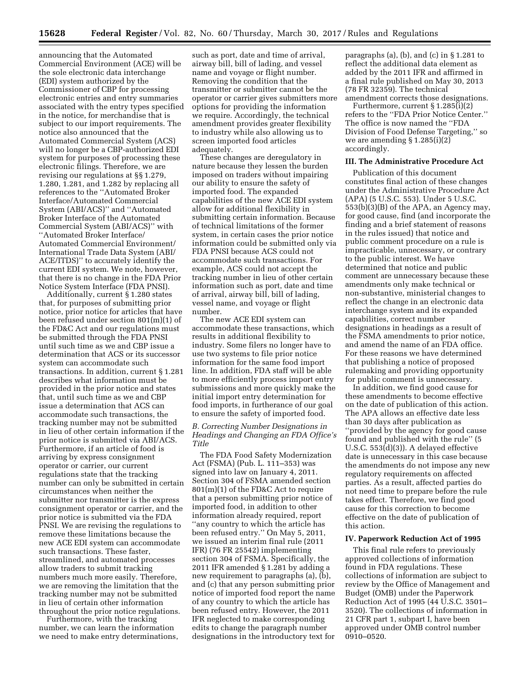announcing that the Automated Commercial Environment (ACE) will be the sole electronic data interchange (EDI) system authorized by the Commissioner of CBP for processing electronic entries and entry summaries associated with the entry types specified in the notice, for merchandise that is subject to our import requirements. The notice also announced that the Automated Commercial System (ACS) will no longer be a CBP-authorized EDI system for purposes of processing these electronic filings. Therefore, we are revising our regulations at §§ 1.279, 1.280, 1.281, and 1.282 by replacing all references to the ''Automated Broker Interface/Automated Commercial System (ABI/ACS)'' and ''Automated Broker Interface of the Automated Commercial System (ABI/ACS)'' with ''Automated Broker Interface/ Automated Commercial Environment/ International Trade Data System (ABI/ ACE/ITDS)'' to accurately identify the current EDI system. We note, however, that there is no change in the FDA Prior Notice System Interface (FDA PNSI).

Additionally, current § 1.280 states that, for purposes of submitting prior notice, prior notice for articles that have been refused under section 801(m)(1) of the FD&C Act and our regulations must be submitted through the FDA PNSI until such time as we and CBP issue a determination that ACS or its successor system can accommodate such transactions. In addition, current § 1.281 describes what information must be provided in the prior notice and states that, until such time as we and CBP issue a determination that ACS can accommodate such transactions, the tracking number may not be submitted in lieu of other certain information if the prior notice is submitted via ABI/ACS. Furthermore, if an article of food is arriving by express consignment operator or carrier, our current regulations state that the tracking number can only be submitted in certain circumstances when neither the submitter nor transmitter is the express consignment operator or carrier, and the prior notice is submitted via the FDA PNSI. We are revising the regulations to remove these limitations because the new ACE EDI system can accommodate such transactions. These faster, streamlined, and automated processes allow traders to submit tracking numbers much more easily. Therefore, we are removing the limitation that the tracking number may not be submitted in lieu of certain other information throughout the prior notice regulations.

Furthermore, with the tracking number, we can learn the information we need to make entry determinations,

such as port, date and time of arrival, airway bill, bill of lading, and vessel name and voyage or flight number. Removing the condition that the transmitter or submitter cannot be the operator or carrier gives submitters more options for providing the information we require. Accordingly, the technical amendment provides greater flexibility to industry while also allowing us to screen imported food articles adequately.

These changes are deregulatory in nature because they lessen the burden imposed on traders without impairing our ability to ensure the safety of imported food. The expanded capabilities of the new ACE EDI system allow for additional flexibility in submitting certain information. Because of technical limitations of the former system, in certain cases the prior notice information could be submitted only via FDA PNSI because ACS could not accommodate such transactions. For example, ACS could not accept the tracking number in lieu of other certain information such as port, date and time of arrival, airway bill, bill of lading, vessel name, and voyage or flight number.

The new ACE EDI system can accommodate these transactions, which results in additional flexibility to industry. Some filers no longer have to use two systems to file prior notice information for the same food import line. In addition, FDA staff will be able to more efficiently process import entry submissions and more quickly make the initial import entry determination for food imports, in furtherance of our goal to ensure the safety of imported food.

## *B. Correcting Number Designations in Headings and Changing an FDA Office's Title*

The FDA Food Safety Modernization Act (FSMA) (Pub. L. 111–353) was signed into law on January 4, 2011. Section 304 of FSMA amended section 801(m)(1) of the FD&C Act to require that a person submitting prior notice of imported food, in addition to other information already required, report ''any country to which the article has been refused entry.'' On May 5, 2011, we issued an interim final rule (2011 IFR) (76 FR 25542) implementing section 304 of FSMA. Specifically, the 2011 IFR amended § 1.281 by adding a new requirement to paragraphs (a), (b), and (c) that any person submitting prior notice of imported food report the name of any country to which the article has been refused entry. However, the 2011 IFR neglected to make corresponding edits to change the paragraph number designations in the introductory text for

paragraphs (a), (b), and (c) in § 1.281 to reflect the additional data element as added by the 2011 IFR and affirmed in a final rule published on May 30, 2013 (78 FR 32359). The technical amendment corrects those designations.

Furthermore, current § 1.285(i)(2) refers to the ''FDA Prior Notice Center.'' The office is now named the ''FDA Division of Food Defense Targeting,'' so we are amending § 1.285(i)(2) accordingly.

#### **III. The Administrative Procedure Act**

Publication of this document constitutes final action of these changes under the Administrative Procedure Act (APA) (5 U.S.C. 553). Under 5 U.S.C. 553(b)(3)(B) of the APA, an Agency may, for good cause, find (and incorporate the finding and a brief statement of reasons in the rules issued) that notice and public comment procedure on a rule is impracticable, unnecessary, or contrary to the public interest. We have determined that notice and public comment are unnecessary because these amendments only make technical or non-substantive, ministerial changes to reflect the change in an electronic data interchange system and its expanded capabilities, correct number designations in headings as a result of the FSMA amendments to prior notice, and amend the name of an FDA office. For these reasons we have determined that publishing a notice of proposed rulemaking and providing opportunity for public comment is unnecessary.

In addition, we find good cause for these amendments to become effective on the date of publication of this action. The APA allows an effective date less than 30 days after publication as ''provided by the agency for good cause found and published with the rule'' (5 U.S.C. 553(d)(3)). A delayed effective date is unnecessary in this case because the amendments do not impose any new regulatory requirements on affected parties. As a result, affected parties do not need time to prepare before the rule takes effect. Therefore, we find good cause for this correction to become effective on the date of publication of this action.

### **IV. Paperwork Reduction Act of 1995**

This final rule refers to previously approved collections of information found in FDA regulations. These collections of information are subject to review by the Office of Management and Budget (OMB) under the Paperwork Reduction Act of 1995 (44 U.S.C. 3501– 3520). The collections of information in 21 CFR part 1, subpart I, have been approved under OMB control number 0910–0520.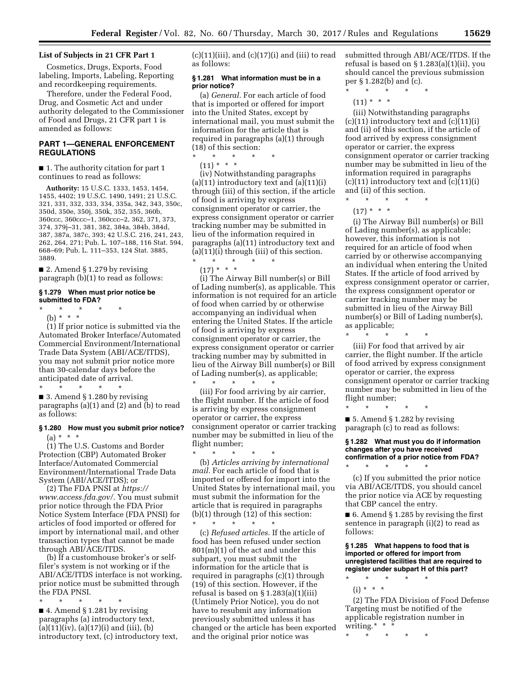## **List of Subjects in 21 CFR Part 1**

Cosmetics, Drugs, Exports, Food labeling, Imports, Labeling, Reporting and recordkeeping requirements.

Therefore, under the Federal Food, Drug, and Cosmetic Act and under authority delegated to the Commissioner of Food and Drugs, 21 CFR part 1 is amended as follows:

# **PART 1—GENERAL ENFORCEMENT REGULATIONS**

■ 1. The authority citation for part 1 continues to read as follows:

**Authority:** 15 U.S.C. 1333, 1453, 1454, 1455, 4402; 19 U.S.C. 1490, 1491; 21 U.S.C. 321, 331, 332, 333, 334, 335a, 342, 343, 350c, 350d, 350e, 350j, 350k, 352, 355, 360b, 360ccc, 360ccc–1, 360ccc–2, 362, 371, 373, 374, 379j–31, 381, 382, 384a, 384b, 384d, 387, 387a, 387c, 393; 42 U.S.C. 216, 241, 243, 262, 264, 271; Pub. L. 107–188, 116 Stat. 594, 668–69; Pub. L. 111–353, 124 Stat. 3885, 3889.

 $\blacksquare$  2. Amend § 1.279 by revising paragraph (b)(1) to read as follows:

### **§ 1.279 When must prior notice be submitted to FDA?**

\* \* \* \* \*

(b) \* \* \* (1) If prior notice is submitted via the Automated Broker Interface/Automated Commercial Environment/International Trade Data System (ABI/ACE/ITDS), you may not submit prior notice more than 30-calendar days before the anticipated date of arrival.

■ 3. Amend § 1.280 by revising paragraphs (a)(1) and (2) and (b) to read as follows:

\* \* \* \* \*

## **§ 1.280 How must you submit prior notice?**   $(a) * * * *$

(1) The U.S. Customs and Border Protection (CBP) Automated Broker Interface/Automated Commercial Environment/International Trade Data System (ABI/ACE/ITDS); or

(2) The FDA PNSI at *[https://](https://www.access.fda.gov/) [www.access.fda.gov/.](https://www.access.fda.gov/)* You must submit prior notice through the FDA Prior Notice System Interface (FDA PNSI) for articles of food imported or offered for import by international mail, and other transaction types that cannot be made through ABI/ACE/ITDS.

(b) If a customhouse broker's or selffiler's system is not working or if the ABI/ACE/ITDS interface is not working, prior notice must be submitted through the FDA PNSI.

\* \* \* \* \* ■ 4. Amend § 1.281 by revising paragraphs (a) introductory text,  $(a)(11)(iv)$ ,  $(a)(17)(i)$  and  $(iii)$ ,  $(b)$ introductory text, (c) introductory text,  $(c)(11)(iii)$ , and  $(c)(17)(i)$  and  $(iii)$  to read as follows:

### **§ 1.281 What information must be in a prior notice?**

(a) *General.* For each article of food that is imported or offered for import into the United States, except by international mail, you must submit the information for the article that is required in paragraphs (a)(1) through (18) of this section:

\* \* \* \* \*

 $(11) * * * *$ 

(iv) Notwithstanding paragraphs (a)(11) introductory text and (a)(11)(i) through (iii) of this section, if the article of food is arriving by express consignment operator or carrier, the express consignment operator or carrier tracking number may be submitted in lieu of the information required in paragraphs (a)(11) introductory text and (a)(11)(i) through (iii) of this section. \* \* \* \* \*

 $(17) * * * *$ (i) The Airway Bill number(s) or Bill of Lading number(s), as applicable. This information is not required for an article of food when carried by or otherwise accompanying an individual when entering the United States. If the article of food is arriving by express consignment operator or carrier, the express consignment operator or carrier tracking number may by submitted in lieu of the Airway Bill number(s) or Bill of Lading number(s), as applicable;

(iii) For food arriving by air carrier, the flight number. If the article of food is arriving by express consignment operator or carrier, the express consignment operator or carrier tracking number may be submitted in lieu of the flight number;

\* \* \* \* \*

\* \* \* \* \* (b) *Articles arriving by international mail.* For each article of food that is imported or offered for import into the United States by international mail, you must submit the information for the article that is required in paragraphs (b)(1) through (12) of this section:

\* \* \* \* \* (c) *Refused articles.* If the article of food has been refused under section 801(m)(1) of the act and under this subpart, you must submit the information for the article that is required in paragraphs (c)(1) through (19) of this section. However, if the refusal is based on § 1.283(a)(1)(iii) (Untimely Prior Notice), you do not have to resubmit any information previously submitted unless it has changed or the article has been exported and the original prior notice was

submitted through ABI/ACE/ITDS. If the refusal is based on § 1.283(a)(1)(ii), you should cancel the previous submission per § 1.282(b) and (c).

\* \* \* \* \*

 $(11) * * * *$ 

(iii) Notwithstanding paragraphs (c)(11) introductory text and (c)(11)(i) and (ii) of this section, if the article of food arrived by express consignment operator or carrier, the express consignment operator or carrier tracking number may be submitted in lieu of the information required in paragraphs (c)(11) introductory text and (c)(11)(i) and (ii) of this section.

\* \* \* \* \*

 $(17) * * * *$ 

(i) The Airway Bill number(s) or Bill of Lading number(s), as applicable; however, this information is not required for an article of food when carried by or otherwise accompanying an individual when entering the United States. If the article of food arrived by express consignment operator or carrier, the express consignment operator or carrier tracking number may be submitted in lieu of the Airway Bill number(s) or Bill of Lading number(s), as applicable;

\* \* \* \* \*

(iii) For food that arrived by air carrier, the flight number. If the article of food arrived by express consignment operator or carrier, the express consignment operator or carrier tracking number may be submitted in lieu of the flight number;

\* \* \* \* \* ■ 5. Amend § 1.282 by revising paragraph (c) to read as follows:

**§ 1.282 What must you do if information changes after you have received confirmation of a prior notice from FDA?** 

\* \* \* \* \* (c) If you submitted the prior notice via ABI/ACE/ITDS, you should cancel the prior notice via ACE by requesting that CBP cancel the entry.

■ 6. Amend § 1.285 by revising the first sentence in paragraph (i)(2) to read as follows:

**§ 1.285 What happens to food that is imported or offered for import from unregistered facilities that are required to register under subpart H of this part?** 

 $(i) * * * *$ 

(2) The FDA Division of Food Defense Targeting must be notified of the applicable registration number in writing.\* \* \*

\* \* \* \* \*

\* \* \* \* \*